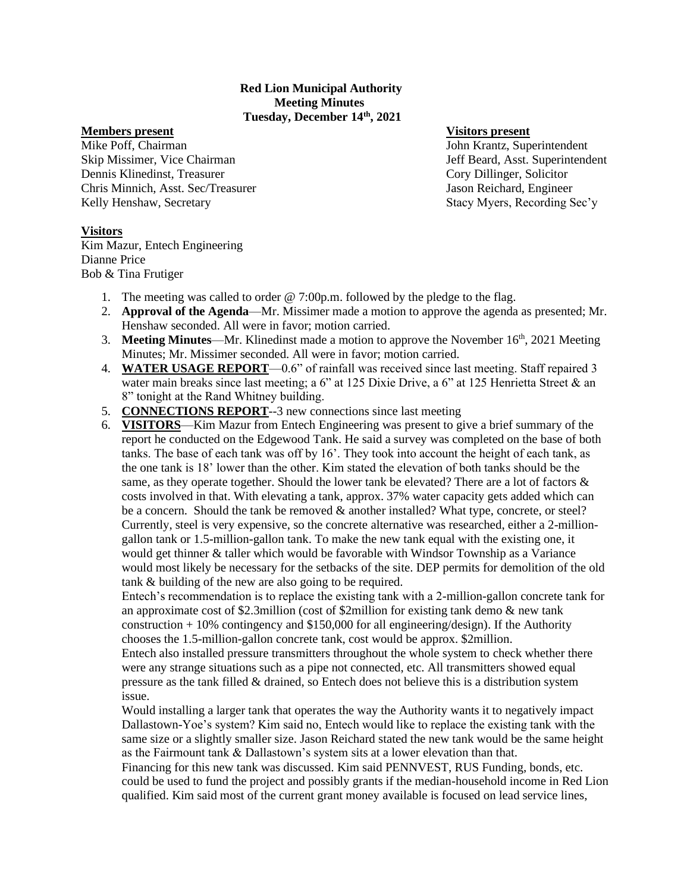### **Red Lion Municipal Authority Meeting Minutes Tuesday, December 14th, 2021**

#### **Members present Visitors present**

Mike Poff, Chairman John Krantz, Superintendent Skip Missimer, Vice Chairman Jeff Beard, Asst. Superintendent Dennis Klinedinst, Treasurer Cory Dillinger, Solicitor Chris Minnich, Asst. Sec/Treasurer Jason Reichard, Engineer Kelly Henshaw, Secretary Stacy Myers, Recording Sec'y

## **Visitors**

Kim Mazur, Entech Engineering Dianne Price Bob & Tina Frutiger

- 1. The meeting was called to order @ 7:00p.m. followed by the pledge to the flag.
- 2. **Approval of the Agenda**—Mr. Missimer made a motion to approve the agenda as presented; Mr. Henshaw seconded. All were in favor; motion carried.
- 3. **Meeting Minutes**—Mr. Klinedinst made a motion to approve the November 16th, 2021 Meeting Minutes; Mr. Missimer seconded. All were in favor; motion carried.
- 4. **WATER USAGE REPORT**—0.6" of rainfall was received since last meeting. Staff repaired 3 water main breaks since last meeting; a 6" at 125 Dixie Drive, a 6" at 125 Henrietta Street & an 8" tonight at the Rand Whitney building.
- 5. **CONNECTIONS REPORT**--3 new connections since last meeting
- 6. **VISITORS**—Kim Mazur from Entech Engineering was present to give a brief summary of the report he conducted on the Edgewood Tank. He said a survey was completed on the base of both tanks. The base of each tank was off by 16'. They took into account the height of each tank, as the one tank is 18' lower than the other. Kim stated the elevation of both tanks should be the same, as they operate together. Should the lower tank be elevated? There are a lot of factors  $\&$ costs involved in that. With elevating a tank, approx. 37% water capacity gets added which can be a concern. Should the tank be removed & another installed? What type, concrete, or steel? Currently, steel is very expensive, so the concrete alternative was researched, either a 2-milliongallon tank or 1.5-million-gallon tank. To make the new tank equal with the existing one, it would get thinner & taller which would be favorable with Windsor Township as a Variance would most likely be necessary for the setbacks of the site. DEP permits for demolition of the old tank & building of the new are also going to be required.

Entech's recommendation is to replace the existing tank with a 2-million-gallon concrete tank for an approximate cost of \$2.3million (cost of \$2million for existing tank demo & new tank construction + 10% contingency and \$150,000 for all engineering/design). If the Authority chooses the 1.5-million-gallon concrete tank, cost would be approx. \$2million.

Entech also installed pressure transmitters throughout the whole system to check whether there were any strange situations such as a pipe not connected, etc. All transmitters showed equal pressure as the tank filled & drained, so Entech does not believe this is a distribution system issue.

Would installing a larger tank that operates the way the Authority wants it to negatively impact Dallastown-Yoe's system? Kim said no, Entech would like to replace the existing tank with the same size or a slightly smaller size. Jason Reichard stated the new tank would be the same height as the Fairmount tank & Dallastown's system sits at a lower elevation than that.

Financing for this new tank was discussed. Kim said PENNVEST, RUS Funding, bonds, etc. could be used to fund the project and possibly grants if the median-household income in Red Lion qualified. Kim said most of the current grant money available is focused on lead service lines,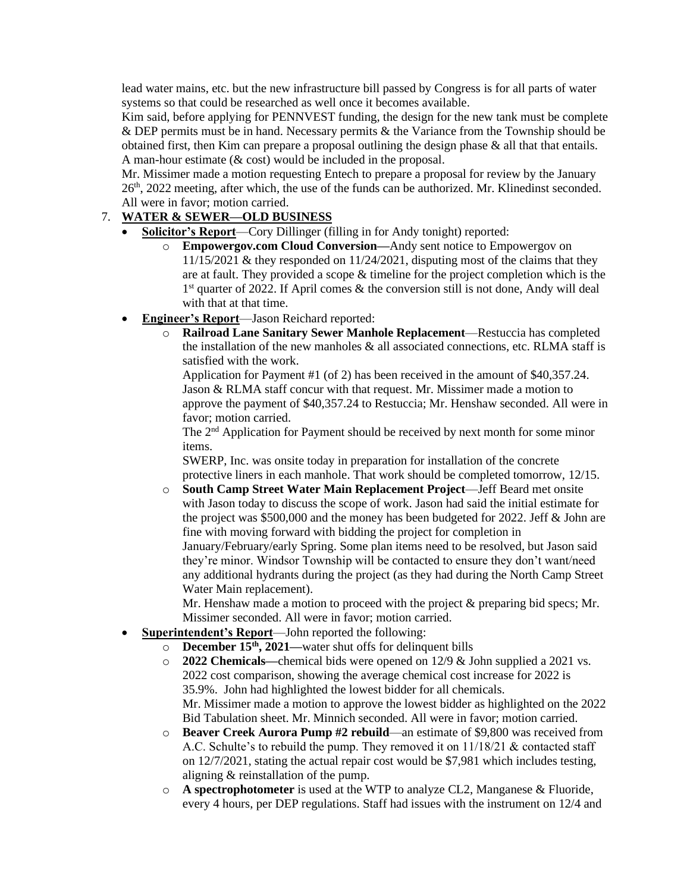lead water mains, etc. but the new infrastructure bill passed by Congress is for all parts of water systems so that could be researched as well once it becomes available.

Kim said, before applying for PENNVEST funding, the design for the new tank must be complete & DEP permits must be in hand. Necessary permits & the Variance from the Township should be obtained first, then Kim can prepare a proposal outlining the design phase & all that that entails. A man-hour estimate (& cost) would be included in the proposal.

Mr. Missimer made a motion requesting Entech to prepare a proposal for review by the January 26th, 2022 meeting, after which, the use of the funds can be authorized. Mr. Klinedinst seconded. All were in favor; motion carried.

# 7. **WATER & SEWER—OLD BUSINESS**

- **Solicitor's Report**—Cory Dillinger (filling in for Andy tonight) reported:
	- o **Empowergov.com Cloud Conversion—**Andy sent notice to Empowergov on 11/15/2021 & they responded on 11/24/2021, disputing most of the claims that they are at fault. They provided a scope & timeline for the project completion which is the 1<sup>st</sup> quarter of 2022. If April comes & the conversion still is not done, Andy will deal with that at that time.
- **Engineer's Report**—Jason Reichard reported:
	- o **Railroad Lane Sanitary Sewer Manhole Replacement**—Restuccia has completed the installation of the new manholes  $\&$  all associated connections, etc. RLMA staff is satisfied with the work.

Application for Payment #1 (of 2) has been received in the amount of \$40,357.24. Jason & RLMA staff concur with that request. Mr. Missimer made a motion to approve the payment of \$40,357.24 to Restuccia; Mr. Henshaw seconded. All were in favor; motion carried.

The 2nd Application for Payment should be received by next month for some minor items.

SWERP, Inc. was onsite today in preparation for installation of the concrete protective liners in each manhole. That work should be completed tomorrow, 12/15.

o **South Camp Street Water Main Replacement Project**—Jeff Beard met onsite with Jason today to discuss the scope of work. Jason had said the initial estimate for the project was \$500,000 and the money has been budgeted for 2022. Jeff & John are fine with moving forward with bidding the project for completion in January/February/early Spring. Some plan items need to be resolved, but Jason said they're minor. Windsor Township will be contacted to ensure they don't want/need any additional hydrants during the project (as they had during the North Camp Street Water Main replacement).

Mr. Henshaw made a motion to proceed with the project & preparing bid specs; Mr. Missimer seconded. All were in favor; motion carried.

- **Superintendent's Report**—John reported the following:
	- o **December 15th, 2021—**water shut offs for delinquent bills
	- o **2022 Chemicals—**chemical bids were opened on 12/9 & John supplied a 2021 vs. 2022 cost comparison, showing the average chemical cost increase for 2022 is 35.9%. John had highlighted the lowest bidder for all chemicals. Mr. Missimer made a motion to approve the lowest bidder as highlighted on the 2022 Bid Tabulation sheet. Mr. Minnich seconded. All were in favor; motion carried.
	- o **Beaver Creek Aurora Pump #2 rebuild**—an estimate of \$9,800 was received from A.C. Schulte's to rebuild the pump. They removed it on  $11/18/21$  & contacted staff on 12/7/2021, stating the actual repair cost would be \$7,981 which includes testing, aligning & reinstallation of the pump.
	- o **A spectrophotometer** is used at the WTP to analyze CL2, Manganese & Fluoride, every 4 hours, per DEP regulations. Staff had issues with the instrument on 12/4 and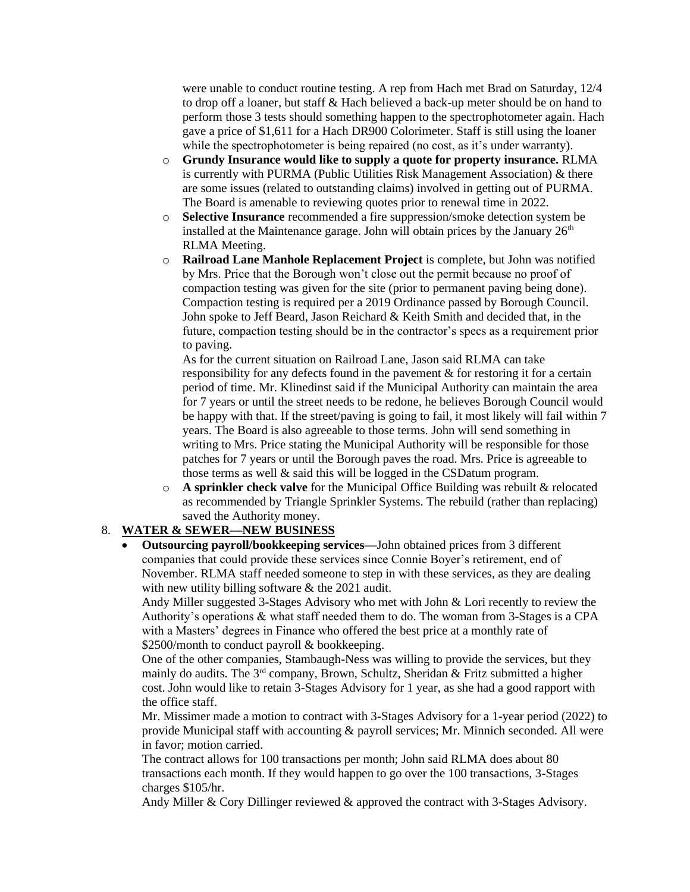were unable to conduct routine testing. A rep from Hach met Brad on Saturday, 12/4 to drop off a loaner, but staff & Hach believed a back-up meter should be on hand to perform those 3 tests should something happen to the spectrophotometer again. Hach gave a price of \$1,611 for a Hach DR900 Colorimeter. Staff is still using the loaner while the spectrophotometer is being repaired (no cost, as it's under warranty).

- o **Grundy Insurance would like to supply a quote for property insurance.** RLMA is currently with PURMA (Public Utilities Risk Management Association) & there are some issues (related to outstanding claims) involved in getting out of PURMA. The Board is amenable to reviewing quotes prior to renewal time in 2022.
- o **Selective Insurance** recommended a fire suppression/smoke detection system be installed at the Maintenance garage. John will obtain prices by the January  $26<sup>th</sup>$ RLMA Meeting.
- o **Railroad Lane Manhole Replacement Project** is complete, but John was notified by Mrs. Price that the Borough won't close out the permit because no proof of compaction testing was given for the site (prior to permanent paving being done). Compaction testing is required per a 2019 Ordinance passed by Borough Council. John spoke to Jeff Beard, Jason Reichard & Keith Smith and decided that, in the future, compaction testing should be in the contractor's specs as a requirement prior to paving.

As for the current situation on Railroad Lane, Jason said RLMA can take responsibility for any defects found in the pavement & for restoring it for a certain period of time. Mr. Klinedinst said if the Municipal Authority can maintain the area for 7 years or until the street needs to be redone, he believes Borough Council would be happy with that. If the street/paving is going to fail, it most likely will fail within 7 years. The Board is also agreeable to those terms. John will send something in writing to Mrs. Price stating the Municipal Authority will be responsible for those patches for 7 years or until the Borough paves the road. Mrs. Price is agreeable to those terms as well & said this will be logged in the CSDatum program.

o **A sprinkler check valve** for the Municipal Office Building was rebuilt & relocated as recommended by Triangle Sprinkler Systems. The rebuild (rather than replacing) saved the Authority money.

## 8. **WATER & SEWER—NEW BUSINESS**

• **Outsourcing payroll/bookkeeping services—**John obtained prices from 3 different companies that could provide these services since Connie Boyer's retirement, end of November. RLMA staff needed someone to step in with these services, as they are dealing with new utility billing software & the 2021 audit.

Andy Miller suggested 3-Stages Advisory who met with John & Lori recently to review the Authority's operations & what staff needed them to do. The woman from 3-Stages is a CPA with a Masters' degrees in Finance who offered the best price at a monthly rate of \$2500/month to conduct payroll & bookkeeping.

One of the other companies, Stambaugh-Ness was willing to provide the services, but they mainly do audits. The  $3<sup>rd</sup>$  company, Brown, Schultz, Sheridan & Fritz submitted a higher cost. John would like to retain 3-Stages Advisory for 1 year, as she had a good rapport with the office staff.

Mr. Missimer made a motion to contract with 3-Stages Advisory for a 1-year period (2022) to provide Municipal staff with accounting & payroll services; Mr. Minnich seconded. All were in favor; motion carried.

The contract allows for 100 transactions per month; John said RLMA does about 80 transactions each month. If they would happen to go over the 100 transactions, 3-Stages charges \$105/hr.

Andy Miller & Cory Dillinger reviewed & approved the contract with 3-Stages Advisory.